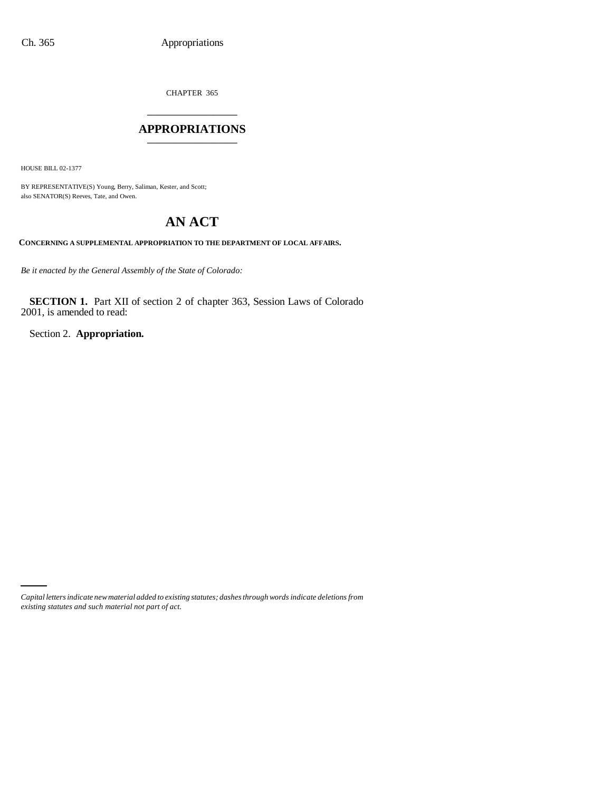CHAPTER 365 \_\_\_\_\_\_\_\_\_\_\_\_\_\_\_

## **APPROPRIATIONS** \_\_\_\_\_\_\_\_\_\_\_\_\_\_\_

HOUSE BILL 02-1377

BY REPRESENTATIVE(S) Young, Berry, Saliman, Kester, and Scott; also SENATOR(S) Reeves, Tate, and Owen.

# **AN ACT**

**CONCERNING A SUPPLEMENTAL APPROPRIATION TO THE DEPARTMENT OF LOCAL AFFAIRS.**

*Be it enacted by the General Assembly of the State of Colorado:*

**SECTION 1.** Part XII of section 2 of chapter 363, Session Laws of Colorado 2001, is amended to read:

Section 2. **Appropriation.**

*Capital letters indicate new material added to existing statutes; dashes through words indicate deletions from existing statutes and such material not part of act.*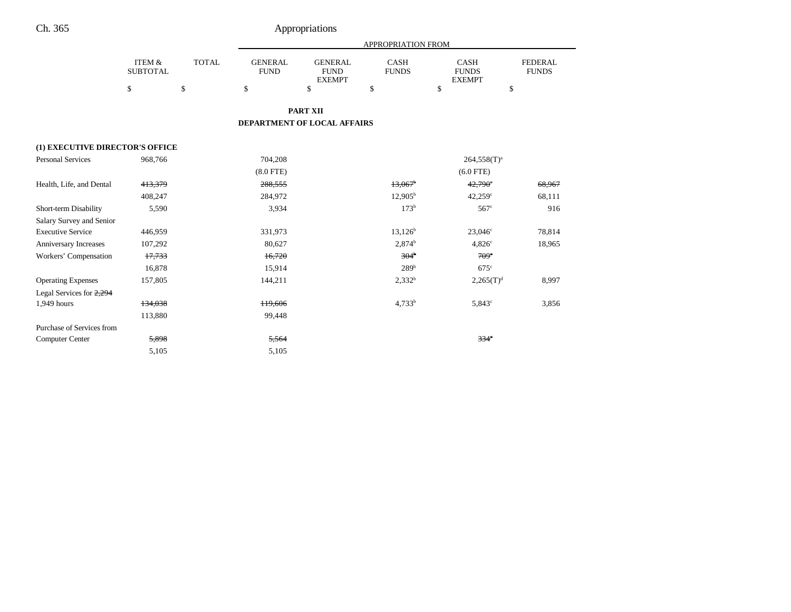|                                 |                                      |              |                               |                                                | APPROPRIATION FROM          |                                              |                                |
|---------------------------------|--------------------------------------|--------------|-------------------------------|------------------------------------------------|-----------------------------|----------------------------------------------|--------------------------------|
|                                 | <b>ITEM &amp;</b><br><b>SUBTOTAL</b> | <b>TOTAL</b> | <b>GENERAL</b><br><b>FUND</b> | <b>GENERAL</b><br><b>FUND</b><br><b>EXEMPT</b> | <b>CASH</b><br><b>FUNDS</b> | <b>CASH</b><br><b>FUNDS</b><br><b>EXEMPT</b> | <b>FEDERAL</b><br><b>FUNDS</b> |
|                                 | \$                                   | \$           | $\mathbb S$                   | \$                                             | \$                          | \$                                           | \$                             |
|                                 |                                      |              |                               | <b>PART XII</b>                                |                             |                                              |                                |
|                                 |                                      |              |                               |                                                |                             |                                              |                                |
|                                 |                                      |              |                               | DEPARTMENT OF LOCAL AFFAIRS                    |                             |                                              |                                |
| (1) EXECUTIVE DIRECTOR'S OFFICE |                                      |              |                               |                                                |                             |                                              |                                |
| <b>Personal Services</b>        | 968,766                              |              | 704,208                       |                                                |                             | $264,558(T)^a$                               |                                |
|                                 |                                      |              | $(8.0$ FTE)                   |                                                |                             | $(6.0$ FTE)                                  |                                |
| Health, Life, and Dental        | 413,379                              |              | 288,555                       |                                                | $13,067$ <sup>b</sup>       | $42,790$ °                                   | 68,967                         |
|                                 | 408,247                              |              | 284,972                       |                                                | $12,905^{\rm b}$            | $42,259$ <sup>c</sup>                        | 68,111                         |
| Short-term Disability           | 5,590                                |              | 3.934                         |                                                | 173 <sup>b</sup>            | 567 <sup>c</sup>                             | 916                            |
| Salary Survey and Senior        |                                      |              |                               |                                                |                             |                                              |                                |
| <b>Executive Service</b>        | 446,959                              |              | 331,973                       |                                                | $13,126^b$                  | $23,046^{\circ}$                             | 78,814                         |
| Anniversary Increases           | 107,292                              |              | 80,627                        |                                                | 2,874 <sup>b</sup>          | $4,826^\circ$                                | 18,965                         |
| Workers' Compensation           | 17,733                               |              | 16,720                        |                                                | 304 <sup>b</sup>            | $709^\circ$                                  |                                |
|                                 | 16,878                               |              | 15,914                        |                                                | 289 <sup>b</sup>            | $675^{\circ}$                                |                                |
| <b>Operating Expenses</b>       | 157,805                              |              | 144,211                       |                                                | $2,332^b$                   | $2,265(T)^{d}$                               | 8,997                          |
| Legal Services for 2,294        |                                      |              |                               |                                                |                             |                                              |                                |
| 1,949 hours                     | 134,038                              |              | 119,606                       |                                                | $4,733^b$                   | $5,843^\circ$                                | 3,856                          |
|                                 | 113,880                              |              | 99,448                        |                                                |                             |                                              |                                |
| Purchase of Services from       |                                      |              |                               |                                                |                             |                                              |                                |
| <b>Computer Center</b>          | 5,898                                |              | 5,564                         |                                                |                             | 334 <sup>c</sup>                             |                                |
|                                 | 5,105                                |              | 5,105                         |                                                |                             |                                              |                                |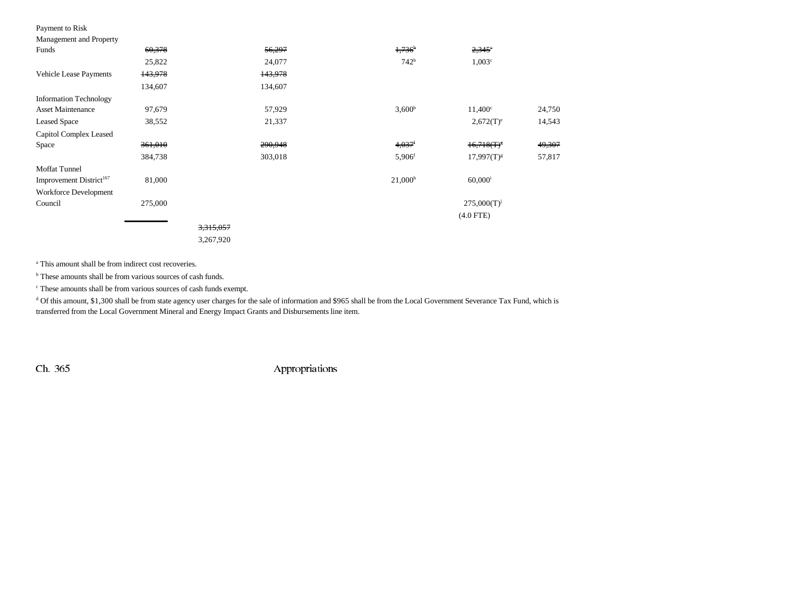### Payment to Risk

| Management and Prope |  |
|----------------------|--|
|                      |  |

| Management and Property             |         |           |         |                      |                       |        |
|-------------------------------------|---------|-----------|---------|----------------------|-----------------------|--------|
| Funds                               | 60,378  |           | 56,297  | 1,736                | $2,345^{\circ}$       |        |
|                                     | 25,822  |           | 24,077  | 742 <sup>b</sup>     | $1,003$ <sup>c</sup>  |        |
| Vehicle Lease Payments              | 143,978 |           | 143,978 |                      |                       |        |
|                                     | 134,607 |           | 134,607 |                      |                       |        |
| <b>Information Technology</b>       |         |           |         |                      |                       |        |
| <b>Asset Maintenance</b>            | 97,679  |           | 57,929  | 3,600 <sup>b</sup>   | $11,400^{\circ}$      | 24,750 |
| <b>Leased Space</b>                 | 38,552  |           | 21,337  |                      | $2,672(T)^e$          | 14,543 |
| Capitol Complex Leased              |         |           |         |                      |                       |        |
| Space                               | 361,010 |           | 290,948 | $4,037$ <sup>f</sup> | $16,718(T)^8$         | 49,307 |
|                                     | 384,738 |           | 303,018 | $5,906$ <sup>f</sup> | $17,997(T)^{g}$       | 57,817 |
| <b>Moffat Tunnel</b>                |         |           |         |                      |                       |        |
| Improvement District <sup>167</sup> | 81,000  |           |         | 21,000 <sup>h</sup>  | $60,000$ <sup>i</sup> |        |
| <b>Workforce Development</b>        |         |           |         |                      |                       |        |
| Council                             | 275,000 |           |         |                      | $275,000(T)^{j}$      |        |
|                                     |         |           |         |                      | $(4.0$ FTE $)$        |        |
|                                     |         | 3,315,057 |         |                      |                       |        |
|                                     |         | 3,267,920 |         |                      |                       |        |

<sup>a</sup> This amount shall be from indirect cost recoveries.

<sup>b</sup> These amounts shall be from various sources of cash funds.

c These amounts shall be from various sources of cash funds exempt.

<sup>d</sup> Of this amount, \$1,300 shall be from state agency user charges for the sale of information and \$965 shall be from the Local Government Severance Tax Fund, which is transferred from the Local Government Mineral and Energy Impact Grants and Disbursements line item.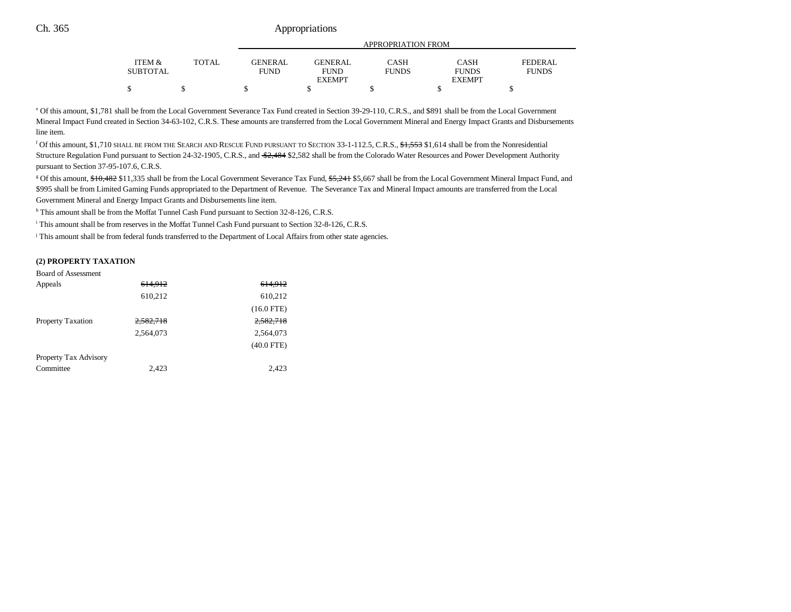|                                 |        |                | APPROPRIATION FROM |              |               |                |
|---------------------------------|--------|----------------|--------------------|--------------|---------------|----------------|
| <b>ITEM <math>\&amp;</math></b> | TOTAL. | <b>GENERAL</b> | <b>GENERAL</b>     | CASH         | CASH          | <b>FEDERAL</b> |
| <b>SUBTOTAL</b>                 |        | <b>FUND</b>    | <b>FUND</b>        | <b>FUNDS</b> | <b>FUNDS</b>  | <b>FUNDS</b>   |
|                                 |        |                | <b>EXEMPT</b>      |              | <b>EXEMPT</b> |                |
| Φ                               |        |                |                    |              |               |                |

e Of this amount, \$1,781 shall be from the Local Government Severance Tax Fund created in Section 39-29-110, C.R.S., and \$891 shall be from the Local Government Mineral Impact Fund created in Section 34-63-102, C.R.S. These amounts are transferred from the Local Government Mineral and Energy Impact Grants and Disbursements line item.

f Of this amount, \$1,710 SHALL BE FROM THE SEARCH AND RESCUE FUND PURSUANT TO SECTION 33-1-112.5, C.R.S., \$1,553 \$1,614 shall be from the Nonresidential Structure Regulation Fund pursuant to Section 24-32-1905, C.R.S., and \$2,484 \$2,582 shall be from the Colorado Water Resources and Power Development Authority pursuant to Section 37-95-107.6, C.R.S.

<sup>g</sup> Of this amount, \$10,482 \$11,335 shall be from the Local Government Severance Tax Fund, \$5,241 \$5,667 shall be from the Local Government Mineral Impact Fund, and \$995 shall be from Limited Gaming Funds appropriated to the Department of Revenue. The Severance Tax and Mineral Impact amounts are transferred from the Local Government Mineral and Energy Impact Grants and Disbursements line item.

h This amount shall be from the Moffat Tunnel Cash Fund pursuant to Section 32-8-126, C.R.S.

i This amount shall be from reserves in the Moffat Tunnel Cash Fund pursuant to Section 32-8-126, C.R.S.

<sup>j</sup> This amount shall be from federal funds transferred to the Department of Local Affairs from other state agencies.

#### **(2) PROPERTY TAXATION**

| <b>Board of Assessment</b> |           |              |
|----------------------------|-----------|--------------|
| Appeals                    | 614.912   | 614.912      |
|                            | 610,212   | 610,212      |
|                            |           | $(16.0$ FTE) |
| <b>Property Taxation</b>   | 2.582.718 | 2,582,718    |
|                            | 2.564.073 | 2,564,073    |
|                            |           | $(40.0$ FTE) |
| Property Tax Advisory      |           |              |
| Committee                  | 2,423     | 2.423        |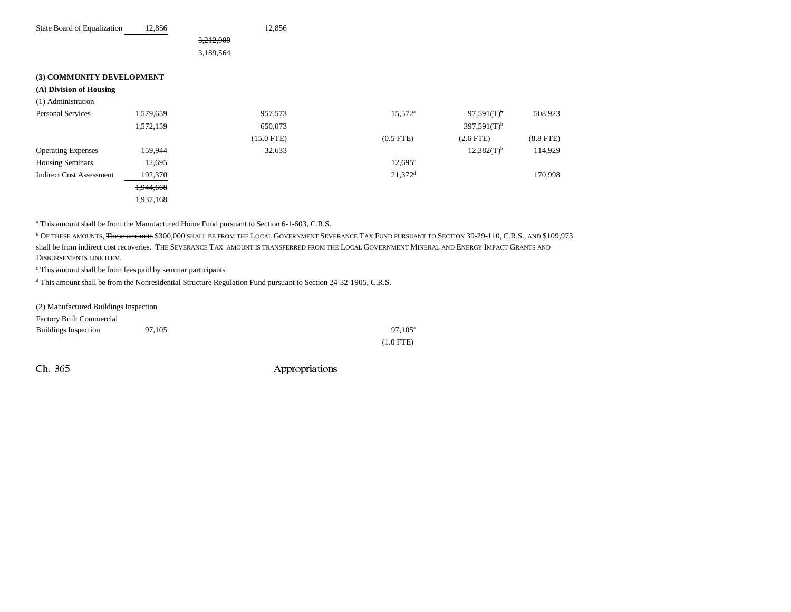| State Board of Equalization     | 12,856    | 12,856       |                       |                           |                |
|---------------------------------|-----------|--------------|-----------------------|---------------------------|----------------|
|                                 |           | 3,212,909    |                       |                           |                |
|                                 |           | 3,189,564    |                       |                           |                |
|                                 |           |              |                       |                           |                |
| (3) COMMUNITY DEVELOPMENT       |           |              |                       |                           |                |
| (A) Division of Housing         |           |              |                       |                           |                |
| (1) Administration              |           |              |                       |                           |                |
| <b>Personal Services</b>        | 1,579,659 | 957,573      | $15,572^{\rm a}$      | 97,591(T)                 | 508,923        |
|                                 | 1,572,159 | 650,073      |                       | $397,591(T)$ <sup>b</sup> |                |
|                                 |           | $(15.0$ FTE) | $(0.5$ FTE)           | $(2.6$ FTE $)$            | $(8.8$ FTE $)$ |
| <b>Operating Expenses</b>       | 159,944   | 32,633       |                       | $12,382(T)^{b}$           | 114,929        |
| <b>Housing Seminars</b>         | 12,695    |              | $12,695^{\circ}$      |                           |                |
| <b>Indirect Cost Assessment</b> | 192,370   |              | $21,372$ <sup>d</sup> |                           | 170,998        |
|                                 | 1,944,668 |              |                       |                           |                |
|                                 | 1,937,168 |              |                       |                           |                |

a This amount shall be from the Manufactured Home Fund pursuant to Section 6-1-603, C.R.S.

<sup>b</sup> Of these amounts, <del>These amounts</del> \$300,000 shall be from the Local Government Severance Tax Fund pursuant to Section 39-29-110, C.R.S., and \$109,973 shall be from indirect cost recoveries. The Severance Tax amount is transferred from the Local Government Mineral and Energy Impact Grants and DISBURSEMENTS LINE ITEM.

c This amount shall be from fees paid by seminar participants.

d This amount shall be from the Nonresidential Structure Regulation Fund pursuant to Section 24-32-1905, C.R.S.

| (2) Manufactured Buildings Inspection |        |                  |
|---------------------------------------|--------|------------------|
| <b>Factory Built Commercial</b>       |        |                  |
| <b>Buildings Inspection</b>           | 97.105 | $97.105^{\circ}$ |
|                                       |        | $(1.0$ FTE)      |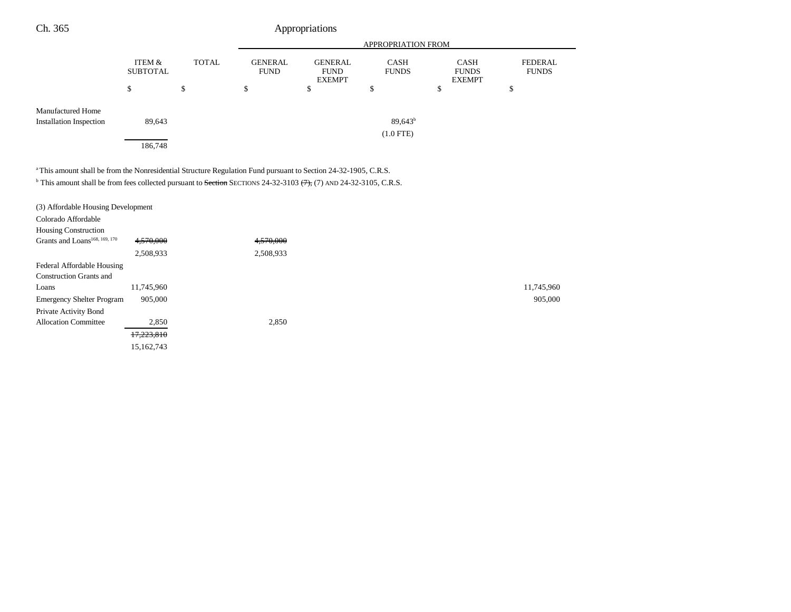| Ch. 365 | Appropriations |
|---------|----------------|
|---------|----------------|

|                                |                           |       | <b>APPROPRIATION FROM</b>     |                                                |                             |                                              |                                |
|--------------------------------|---------------------------|-------|-------------------------------|------------------------------------------------|-----------------------------|----------------------------------------------|--------------------------------|
|                                | ITEM &<br><b>SUBTOTAL</b> | TOTAL | <b>GENERAL</b><br><b>FUND</b> | <b>GENERAL</b><br><b>FUND</b><br><b>EXEMPT</b> | <b>CASH</b><br><b>FUNDS</b> | <b>CASH</b><br><b>FUNDS</b><br><b>EXEMPT</b> | <b>FEDERAL</b><br><b>FUNDS</b> |
|                                | \$                        | \$    | \$                            | \$                                             | \$                          | J.                                           | \$                             |
| <b>Manufactured Home</b>       |                           |       |                               |                                                |                             |                                              |                                |
| <b>Installation Inspection</b> | 89,643                    |       |                               |                                                | $89,643^b$                  |                                              |                                |
|                                |                           |       |                               |                                                | $(1.0$ FTE)                 |                                              |                                |
|                                | 186,748                   |       |                               |                                                |                             |                                              |                                |

<sup>a</sup> This amount shall be from the Nonresidential Structure Regulation Fund pursuant to Section 24-32-1905, C.R.S.

 $<sup>b</sup>$  This amount shall be from fees collected pursuant to Section SECTIONS 24-32-3103  $(7)$ , (7) AND 24-32-3105, C.R.S.</sup>

| (3) Affordable Housing Development        |            |           |            |
|-------------------------------------------|------------|-----------|------------|
| Colorado Affordable                       |            |           |            |
| <b>Housing Construction</b>               |            |           |            |
| Grants and Loans <sup>168, 169, 170</sup> | 4,570,000  | 4,570,000 |            |
|                                           | 2,508,933  | 2,508,933 |            |
| Federal Affordable Housing                |            |           |            |
| <b>Construction Grants and</b>            |            |           |            |
| Loans                                     | 11,745,960 |           | 11,745,960 |
| <b>Emergency Shelter Program</b>          | 905,000    |           | 905,000    |
| Private Activity Bond                     |            |           |            |
| <b>Allocation Committee</b>               | 2,850      | 2,850     |            |
|                                           | 17,223,810 |           |            |
|                                           | 15,162,743 |           |            |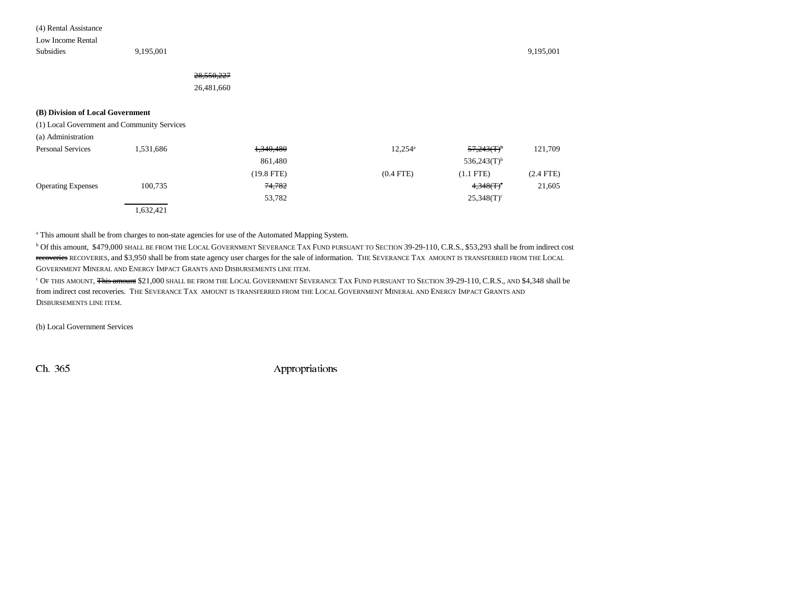(4) Rental Assistance

Low Income Rental

Subsidies 9,195,001 9,195,001

## 28,550,227

26,481,660

#### **(B) Division of Local Government**

(1) Local Government and Community Services

(a) Administration

| <b>Personal Services</b>  | 1,531,686 | 1,340,480    | $12,254^{\circ}$ | $57,243(T)^6$             | 121,709   |
|---------------------------|-----------|--------------|------------------|---------------------------|-----------|
|                           |           | 861,480      |                  | $536,243(T)$ <sup>b</sup> |           |
|                           |           | $(19.8$ FTE) | $(0.4$ FTE)      | $(1.1$ FTE)               | (2.4 FTE) |
| <b>Operating Expenses</b> | 100,735   | 74,782       |                  | 4,348(T)                  | 21,605    |
|                           |           | 53,782       |                  | $25,348(T)^c$             |           |
|                           | 1,632,421 |              |                  |                           |           |

<sup>a</sup> This amount shall be from charges to non-state agencies for use of the Automated Mapping System.

 $^{\rm b}$  Of this amount, \$479,000 shall be from the Local Government Severance Tax Fund pursuant to Section 39-29-110, C.R.S., \$53,293 shall be from indirect cost <del>recoveries</del> RECOVERIES, and \$3,950 shall be from state agency user charges for the sale of information. THE SEVERANCE TAX AMOUNT IS TRANSFERRED FROM THE LOCAL GOVERNMENT MINERAL AND ENERGY IMPACT GRANTS AND DISBURSEMENTS LINE ITEM.

<sup>c</sup> Of this amount, <del>This amount</del> \$21,000 shall be from the Local Government Severance Tax Fund pursuant to Section 39-29-110, C.R.S., and \$4,348 shall be from indirect cost recoveries. The Severance Tax amount is transferred from the Local Government Mineral and Energy Impact Grants and DISBURSEMENTS LINE ITEM.

(b) Local Government Services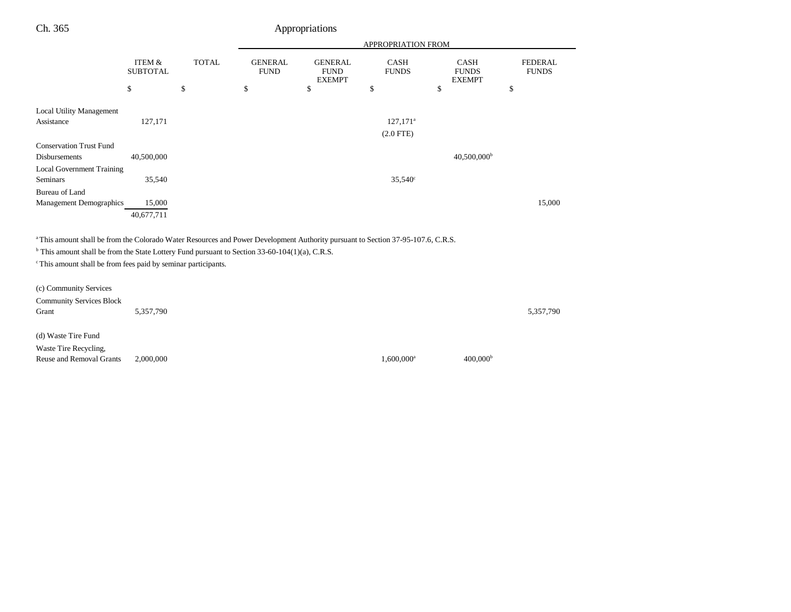| ٠ | U |
|---|---|
|   |   |

## Appropriations

|                                  |                                 |                    | APPROPRIATION FROM                  |                                                      |                                   |                                                    |                                      |
|----------------------------------|---------------------------------|--------------------|-------------------------------------|------------------------------------------------------|-----------------------------------|----------------------------------------------------|--------------------------------------|
|                                  | ITEM &<br><b>SUBTOTAL</b><br>\$ | <b>TOTAL</b><br>\$ | <b>GENERAL</b><br><b>FUND</b><br>\$ | <b>GENERAL</b><br><b>FUND</b><br><b>EXEMPT</b><br>\$ | <b>CASH</b><br><b>FUNDS</b><br>\$ | <b>CASH</b><br><b>FUNDS</b><br><b>EXEMPT</b><br>\$ | <b>FEDERAL</b><br><b>FUNDS</b><br>\$ |
| <b>Local Utility Management</b>  |                                 |                    |                                     |                                                      |                                   |                                                    |                                      |
| Assistance                       |                                 |                    |                                     |                                                      |                                   |                                                    |                                      |
|                                  | 127,171                         |                    |                                     |                                                      | $127,171^{\circ}$                 |                                                    |                                      |
|                                  |                                 |                    |                                     |                                                      | $(2.0$ FTE)                       |                                                    |                                      |
| <b>Conservation Trust Fund</b>   |                                 |                    |                                     |                                                      |                                   |                                                    |                                      |
| Disbursements                    | 40,500,000                      |                    |                                     |                                                      |                                   | $40,500,000$ <sup>b</sup>                          |                                      |
| <b>Local Government Training</b> |                                 |                    |                                     |                                                      |                                   |                                                    |                                      |
| <b>Seminars</b>                  | 35,540                          |                    |                                     |                                                      | $35,540^{\circ}$                  |                                                    |                                      |
| Bureau of Land                   |                                 |                    |                                     |                                                      |                                   |                                                    |                                      |
| Management Demographics          | 15,000                          |                    |                                     |                                                      |                                   |                                                    | 15,000                               |
|                                  | 40,677,711                      |                    |                                     |                                                      |                                   |                                                    |                                      |

<sup>a</sup> This amount shall be from the Colorado Water Resources and Power Development Authority pursuant to Section 37-95-107.6, C.R.S.

 $<sup>b</sup>$  This amount shall be from the State Lottery Fund pursuant to Section 33-60-104(1)(a), C.R.S.</sup>

 $\cdot$ <sup>c</sup> This amount shall be from fees paid by seminar participants.

| (c) Community Services          |           |                          |                      |           |
|---------------------------------|-----------|--------------------------|----------------------|-----------|
| <b>Community Services Block</b> |           |                          |                      |           |
| Grant                           | 5,357,790 |                          |                      | 5,357,790 |
|                                 |           |                          |                      |           |
| (d) Waste Tire Fund             |           |                          |                      |           |
| Waste Tire Recycling,           |           |                          |                      |           |
| Reuse and Removal Grants        | 2,000,000 | $1,600,000$ <sup>a</sup> | 400,000 <sup>b</sup> |           |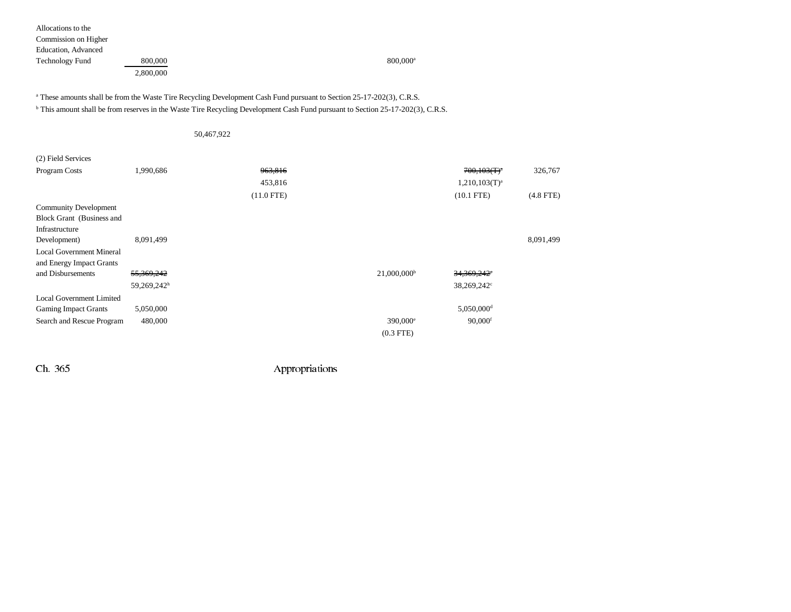| Allocations to the     |           |                      |
|------------------------|-----------|----------------------|
| Commission on Higher   |           |                      |
| Education, Advanced    |           |                      |
| <b>Technology Fund</b> | 800,000   | 800,000 <sup>a</sup> |
|                        | 2,800,000 |                      |

<sup>a</sup> These amounts shall be from the Waste Tire Recycling Development Cash Fund pursuant to Section 25-17-202(3), C.R.S.

b This amount shall be from reserves in the Waste Tire Recycling Development Cash Fund pursuant to Section 25-17-202(3), C.R.S.

### 50,467,922

| (2) Field Services              |             |              |                           |                           |             |
|---------------------------------|-------------|--------------|---------------------------|---------------------------|-------------|
| Program Costs                   | 1,990,686   | 963,816      |                           | $700,103(T)^{a}$          | 326,767     |
|                                 |             | 453,816      |                           | 1,210,103(T) <sup>a</sup> |             |
|                                 |             | $(11.0$ FTE) |                           | $(10.1$ FTE)              | $(4.8$ FTE) |
| <b>Community Development</b>    |             |              |                           |                           |             |
| Block Grant (Business and       |             |              |                           |                           |             |
| Infrastructure                  |             |              |                           |                           |             |
| Development)                    | 8,091,499   |              |                           |                           | 8,091,499   |
| <b>Local Government Mineral</b> |             |              |                           |                           |             |
| and Energy Impact Grants        |             |              |                           |                           |             |
| and Disbursements               | 55,369,242  |              | $21,000,000$ <sup>b</sup> | 34,369,242°               |             |
|                                 | 59,269,242h |              |                           | 38,269,242 <sup>c</sup>   |             |
| <b>Local Government Limited</b> |             |              |                           |                           |             |
| <b>Gaming Impact Grants</b>     | 5,050,000   |              |                           | $5,050,000$ <sup>d</sup>  |             |
| Search and Rescue Program       | 480,000     |              | 390,000 <sup>e</sup>      | $90,000$ <sup>f</sup>     |             |
|                                 |             |              | $(0.3$ FTE $)$            |                           |             |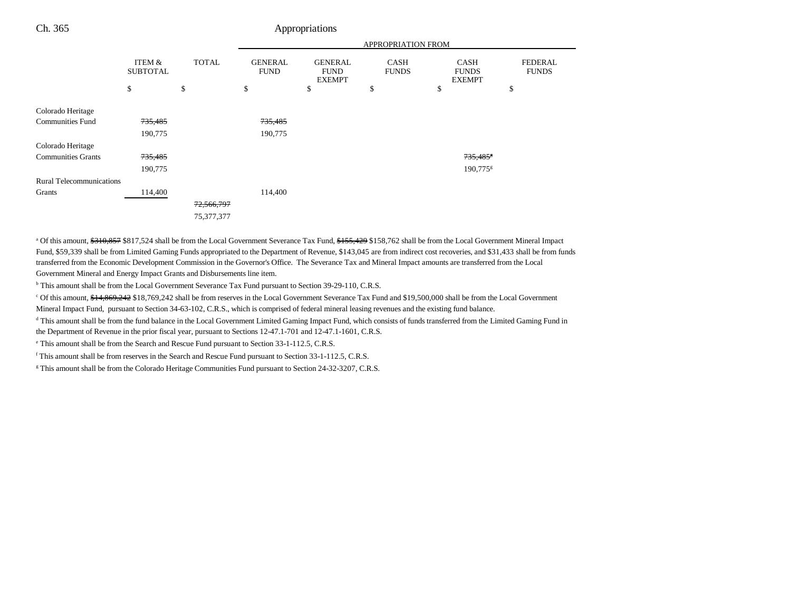## Ch. 365 Appropriations

|                                 |                                 |                    | <b>APPROPRIATION FROM</b>           |                                                      |                            |                                                    |                                      |
|---------------------------------|---------------------------------|--------------------|-------------------------------------|------------------------------------------------------|----------------------------|----------------------------------------------------|--------------------------------------|
|                                 | ITEM &<br><b>SUBTOTAL</b><br>\$ | <b>TOTAL</b><br>\$ | <b>GENERAL</b><br><b>FUND</b><br>\$ | <b>GENERAL</b><br><b>FUND</b><br><b>EXEMPT</b><br>\$ | CASH<br><b>FUNDS</b><br>\$ | <b>CASH</b><br><b>FUNDS</b><br><b>EXEMPT</b><br>\$ | <b>FEDERAL</b><br><b>FUNDS</b><br>\$ |
|                                 |                                 |                    |                                     |                                                      |                            |                                                    |                                      |
| Colorado Heritage               |                                 |                    |                                     |                                                      |                            |                                                    |                                      |
| <b>Communities Fund</b>         | 735,485                         |                    | 735,485                             |                                                      |                            |                                                    |                                      |
|                                 | 190,775                         |                    | 190,775                             |                                                      |                            |                                                    |                                      |
| Colorado Heritage               |                                 |                    |                                     |                                                      |                            |                                                    |                                      |
| <b>Communities Grants</b>       | 735,485                         |                    |                                     |                                                      |                            | 735,485                                            |                                      |
|                                 | 190,775                         |                    |                                     |                                                      |                            | 190,775 <sup>g</sup>                               |                                      |
| <b>Rural Telecommunications</b> |                                 |                    |                                     |                                                      |                            |                                                    |                                      |
| Grants                          | 114,400                         |                    | 114,400                             |                                                      |                            |                                                    |                                      |
|                                 |                                 | 72,566,797         |                                     |                                                      |                            |                                                    |                                      |
|                                 |                                 | 75, 377, 377       |                                     |                                                      |                            |                                                    |                                      |

<sup>a</sup> Of this amount, \$310,857 \$817,524 shall be from the Local Government Severance Tax Fund, \$155,429 \$158,762 shall be from the Local Government Mineral Impact Fund, \$59,339 shall be from Limited Gaming Funds appropriated to the Department of Revenue, \$143,045 are from indirect cost recoveries, and \$31,433 shall be from funds transferred from the Economic Development Commission in the Governor's Office. The Severance Tax and Mineral Impact amounts are transferred from the Local Government Mineral and Energy Impact Grants and Disbursements line item.

<sup>b</sup> This amount shall be from the Local Government Severance Tax Fund pursuant to Section 39-29-110, C.R.S.

<sup>c</sup> Of this amount, \$14,869,242 \$18,769,242 shall be from reserves in the Local Government Severance Tax Fund and \$19,500,000 shall be from the Local Government Mineral Impact Fund, pursuant to Section 34-63-102, C.R.S., which is comprised of federal mineral leasing revenues and the existing fund balance.

<sup>d</sup> This amount shall be from the fund balance in the Local Government Limited Gaming Impact Fund, which consists of funds transferred from the Limited Gaming Fund in the Department of Revenue in the prior fiscal year, pursuant to Sections 12-47.1-701 and 12-47.1-1601, C.R.S.

e This amount shall be from the Search and Rescue Fund pursuant to Section 33-1-112.5, C.R.S.

f This amount shall be from reserves in the Search and Rescue Fund pursuant to Section 33-1-112.5, C.R.S.

<sup>g</sup> This amount shall be from the Colorado Heritage Communities Fund pursuant to Section 24-32-3207, C.R.S.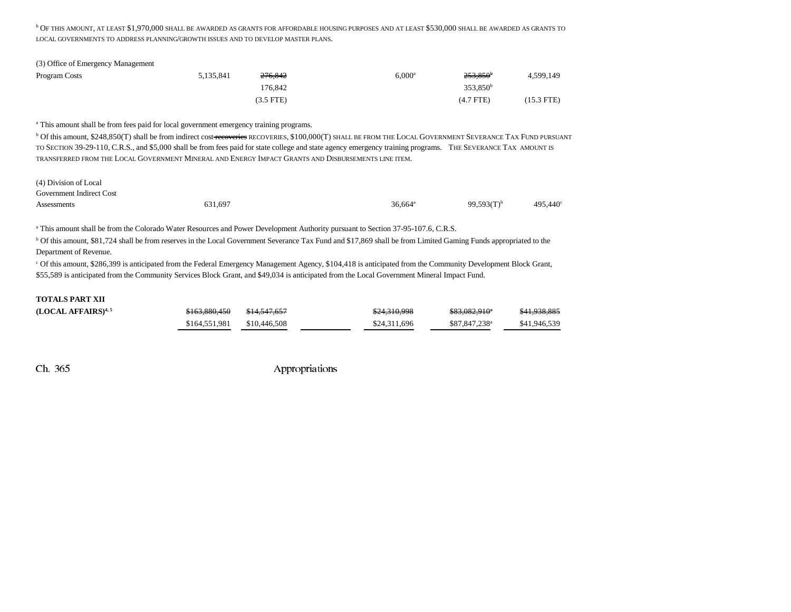h OF THIS AMOUNT, AT LEAST \$1,970,000 SHALL BE AWARDED AS GRANTS FOR AFFORDABLE HOUSING PURPOSES AND AT LEAST \$530,000 SHALL BE AWARDED AS GRANTS TO LOCAL GOVERNMENTS TO ADDRESS PLANNING/GROWTH ISSUES AND TO DEVELOP MASTER PLANS.

| (3) Office of Emergency Management |           |                    |                 |                      |            |
|------------------------------------|-----------|--------------------|-----------------|----------------------|------------|
| Program Costs                      | 5.135.841 | <del>276.842</del> | $6.000^{\rm a}$ | $253.850^{\circ}$    | 4,599,149  |
|                                    |           | 176.842            |                 | 353.850 <sup>b</sup> |            |
|                                    |           | (3.5 FTE)          |                 | $(4.7$ FTE)          | (15.3 FTE) |

a This amount shall be from fees paid for local government emergency training programs.

 $^{\rm b}$  Of this amount, \$248,850(T) shall be from indirect cost <del>recoveries</del> recoveries, \$100,000(T) shall be from the Local Government Severance Tax Fund pursuant TO SECTION 39-29-110, C.R.S., and \$5,000 shall be from fees paid for state college and state agency emergency training programs. THE SEVERANCE TAX AMOUNT IS transferred from the Local Government Mineral and Energy Impact Grants and Disbursements line item.

(4) Division of Local

Government Indirect Cost

Assessments 631,697 631,697 631,697 636,664<sup>a</sup> 99,593(T)<sup>b</sup> 495,440<sup>c</sup>

a This amount shall be from the Colorado Water Resources and Power Development Authority pursuant to Section 37-95-107.6, C.R.S.

b Of this amount, \$81,724 shall be from reserves in the Local Government Severance Tax Fund and \$17,869 shall be from Limited Gaming Funds appropriated to the Department of Revenue.

c Of this amount, \$286,399 is anticipated from the Federal Emergency Management Agency, \$104,418 is anticipated from the Community Development Block Grant, \$55,589 is anticipated from the Community Services Block Grant, and \$49,034 is anticipated from the Local Government Mineral Impact Fund.

#### **TOTALS PART XII**

| (LOCAL AFFAIRS) <sup>4,5</sup> | \$163,880,450 | <del>\$14.547.657</del> | \$24,310,998 | <del>\$83,082,910</del> * | \$41,938,885 |
|--------------------------------|---------------|-------------------------|--------------|---------------------------|--------------|
|                                | \$164,551,981 | \$10,446,508            | \$24,311,696 | \$87,847,238 <sup>a</sup> | \$41,946,539 |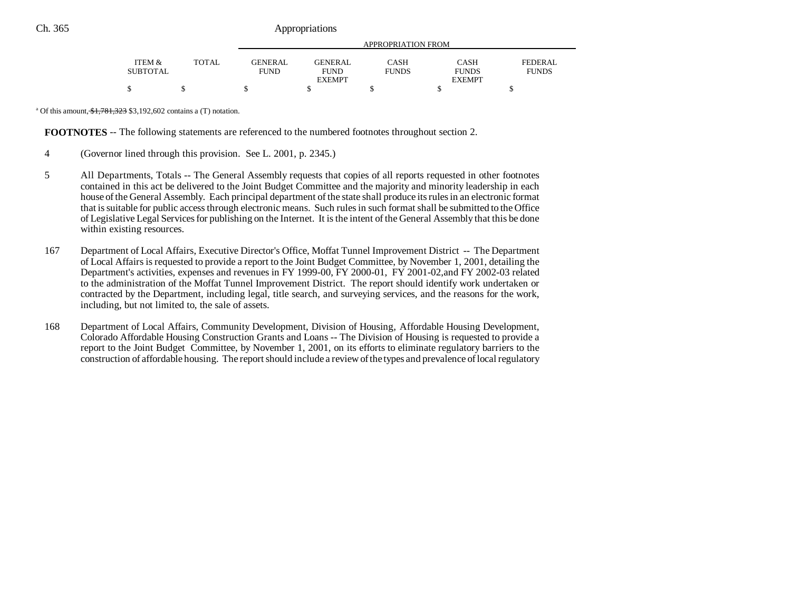|                    |       | APPROPRIATION FROM            |                               |                      |                      |                                |  |
|--------------------|-------|-------------------------------|-------------------------------|----------------------|----------------------|--------------------------------|--|
|                    |       |                               |                               |                      |                      |                                |  |
| ITEM &<br>SUBTOTAL | TOTAL | <b>GENERAL</b><br><b>FUND</b> | <b>GENERAL</b><br><b>FUND</b> | CASH<br><b>FUNDS</b> | CASH<br><b>FUNDS</b> | <b>FEDERAL</b><br><b>FUNDS</b> |  |
|                    |       |                               | <b>EXEMPT</b>                 |                      | <b>EXEMPT</b>        |                                |  |
| S                  |       |                               |                               |                      |                      |                                |  |

<sup>a</sup> Of this amount,  $\frac{$1,781,323}{$3,192,602}$  contains a (T) notation.

**FOOTNOTES** -- The following statements are referenced to the numbered footnotes throughout section 2.

- 4 (Governor lined through this provision. See L. 2001, p. 2345.)
- 5 All Departments, Totals -- The General Assembly requests that copies of all reports requested in other footnotes contained in this act be delivered to the Joint Budget Committee and the majority and minority leadership in each house of the General Assembly. Each principal department of the state shall produce its rules in an electronic format that is suitable for public access through electronic means. Such rules in such format shall be submitted to the Office of Legislative Legal Services for publishing on the Internet. It is the intent of the General Assembly that this be done within existing resources.
- 167 Department of Local Affairs, Executive Director's Office, Moffat Tunnel Improvement District -- The Department of Local Affairs is requested to provide a report to the Joint Budget Committee, by November 1, 2001, detailing the Department's activities, expenses and revenues in FY 1999-00, FY 2000-01, FY 2001-02,and FY 2002-03 related to the administration of the Moffat Tunnel Improvement District. The report should identify work undertaken or contracted by the Department, including legal, title search, and surveying services, and the reasons for the work, including, but not limited to, the sale of assets.
- 168 Department of Local Affairs, Community Development, Division of Housing, Affordable Housing Development, Colorado Affordable Housing Construction Grants and Loans -- The Division of Housing is requested to provide a report to the Joint Budget Committee, by November 1, 2001, on its efforts to eliminate regulatory barriers to the construction of affordable housing. The report should include a review of the types and prevalence of local regulatory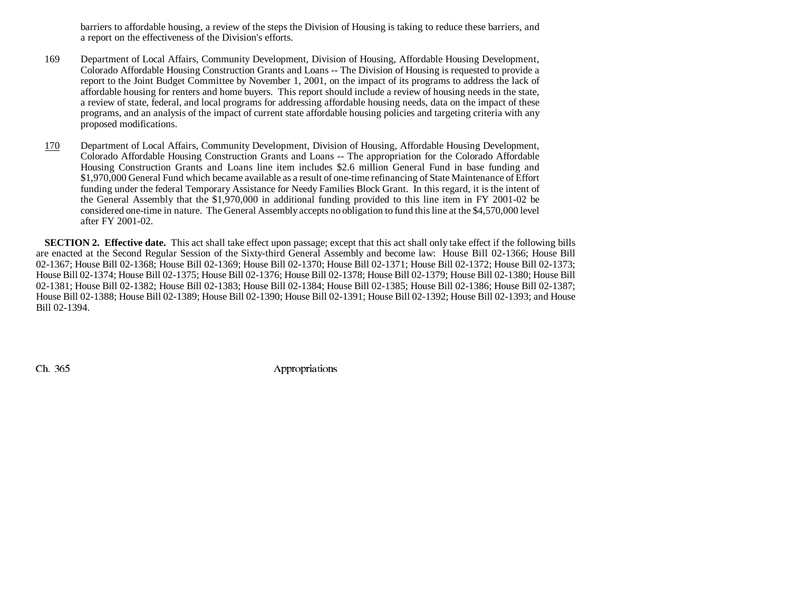barriers to affordable housing, a review of the steps the Division of Housing is taking to reduce these barriers, and a report on the effectiveness of the Division's efforts.

- 169 Department of Local Affairs, Community Development, Division of Housing, Affordable Housing Development, Colorado Affordable Housing Construction Grants and Loans -- The Division of Housing is requested to provide a report to the Joint Budget Committee by November 1, 2001, on the impact of its programs to address the lack of affordable housing for renters and home buyers. This report should include a review of housing needs in the state, a review of state, federal, and local programs for addressing affordable housing needs, data on the impact of these programs, and an analysis of the impact of current state affordable housing policies and targeting criteria with any proposed modifications.
- 170 Department of Local Affairs, Community Development, Division of Housing, Affordable Housing Development, Colorado Affordable Housing Construction Grants and Loans -- The appropriation for the Colorado Affordable Housing Construction Grants and Loans line item includes \$2.6 million General Fund in base funding and \$1,970,000 General Fund which became available as a result of one-time refinancing of State Maintenance of Effort funding under the federal Temporary Assistance for Needy Families Block Grant. In this regard, it is the intent of the General Assembly that the \$1,970,000 in additional funding provided to this line item in FY 2001-02 be considered one-time in nature. The General Assembly accepts no obligation to fund this line at the \$4,570,000 level after FY 2001-02.

**SECTION 2. Effective date.** This act shall take effect upon passage; except that this act shall only take effect if the following bills are enacted at the Second Regular Session of the Sixty-third General Assembly and become law: House Bill 02-1366; House Bill 02-1367; House Bill 02-1368; House Bill 02-1369; House Bill 02-1370; House Bill 02-1371; House Bill 02-1372; House Bill 02-1373; House Bill 02-1374; House Bill 02-1375; House Bill 02-1376; House Bill 02-1378; House Bill 02-1379; House Bill 02-1380; House Bill 02-1381; House Bill 02-1382; House Bill 02-1383; House Bill 02-1384; House Bill 02-1385; House Bill 02-1386; House Bill 02-1387; House Bill 02-1388; House Bill 02-1389; House Bill 02-1390; House Bill 02-1391; House Bill 02-1392; House Bill 02-1393; and House Bill 02-1394.